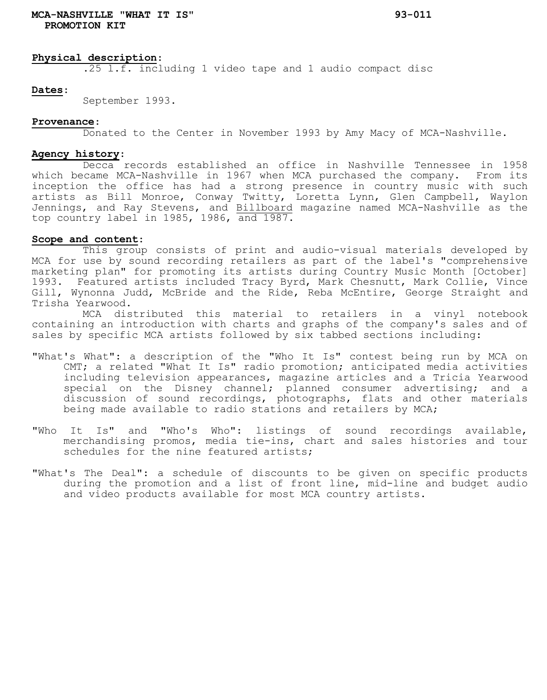## **Physical description**:

.25 l.f. including 1 video tape and 1 audio compact disc

### **Dates**:

September 1993.

### **Provenance**:

Donated to the Center in November 1993 by Amy Macy of MCA-Nashville.

#### **Agency history**:

Decca records established an office in Nashville Tennessee in 1958 which became MCA-Nashville in 1967 when MCA purchased the company. From its inception the office has had a strong presence in country music with such artists as Bill Monroe, Conway Twitty, Loretta Lynn, Glen Campbell, Waylon Jennings, and Ray Stevens, and Billboard magazine named MCA-Nashville as the top country label in 1985, 1986, and 1987.

# **Scope and content**:

This group consists of print and audio-visual materials developed by MCA for use by sound recording retailers as part of the label's "comprehensive marketing plan" for promoting its artists during Country Music Month [October] 1993. Featured artists included Tracy Byrd, Mark Chesnutt, Mark Collie, Vince Gill, Wynonna Judd, McBride and the Ride, Reba McEntire, George Straight and Trisha Yearwood.

MCA distributed this material to retailers in a vinyl notebook containing an introduction with charts and graphs of the company's sales and of sales by specific MCA artists followed by six tabbed sections including:

- "What's What": a description of the "Who It Is" contest being run by MCA on CMT; a related "What It Is" radio promotion; anticipated media activities including television appearances, magazine articles and a Tricia Yearwood special on the Disney channel; planned consumer advertising; and a discussion of sound recordings, photographs, flats and other materials being made available to radio stations and retailers by MCA;
- "Who It Is" and "Who's Who": listings of sound recordings available, merchandising promos, media tie-ins, chart and sales histories and tour schedules for the nine featured artists;
- "What's The Deal": a schedule of discounts to be given on specific products during the promotion and a list of front line, mid-line and budget audio and video products available for most MCA country artists.